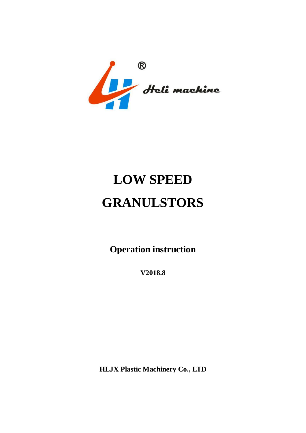Heli machine

# **LOW SPEED GRANULSTORS**

**Operation instruction**

**V2018.8**

**HLJX Plastic Machinery Co., LTD**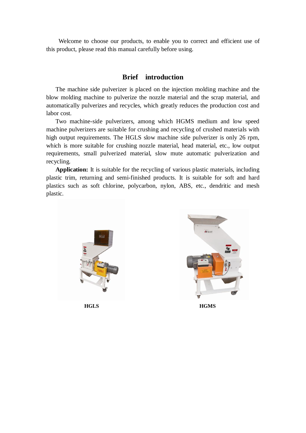Welcome to choose our products, to enable you to correct and efficient use of this product, please read this manual carefully before using.

#### **Brief introduction**

The machine side pulverizer is placed on the injection molding machine and the blow molding machine to pulverize the nozzle material and the scrap material, and automatically pulverizes and recycles, which greatly reduces the production cost and labor cost.

Two machine-side pulverizers, among which HGMS medium and low speed machine pulverizers are suitable for crushing and recycling of crushed materials with high output requirements. The HGLS slow machine side pulverizer is only 26 rpm, which is more suitable for crushing nozzle material, head material, etc., low output requirements, small pulverized material, slow mute automatic pulverization and recycling.

**Application:** It is suitable for the recycling of various plastic materials, including plastic trim, returning and semi-finished products. It is suitable for soft and hard plastics such as soft chlorine, polycarbon, nylon, ABS, etc., dendritic and mesh plastic.





**HGLS HGMS**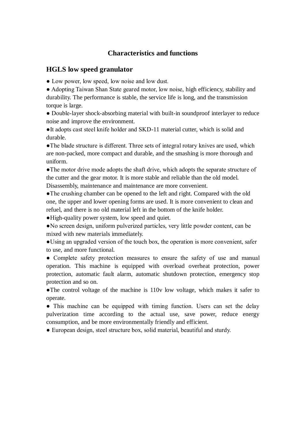#### **Characteristics and functions**

#### **HGLS low speed granulator**

• Low power, low speed, low noise and low dust.

● Adopting Taiwan Shan State geared motor, low noise, high efficiency, stability and durability. The performance is stable, the service life is long, and the transmission torque is large.

• Double-layer shock-absorbing material with built-in soundproof interlayer to reduce noise and improve the environment.

●It adopts cast steel knife holder and SKD-11 material cutter, which is solid and durable.

• The blade structure is different. Three sets of integral rotary knives are used, which are non-packed, more compact and durable, and the smashing is more thorough and uniform.

• The motor drive mode adopts the shaft drive, which adopts the separate structure of the cutter and the gear motor. It is more stable and reliable than the old model. Disassembly, maintenance and maintenance are more convenient.

●The crushing chamber can be opened to the left and right. Compared with the old one, the upper and lower opening forms are used. It is more convenient to clean and refuel, and there is no old material left in the bottom of the knife holder.

●High-quality power system, low speed and quiet.

●No screen design, uniform pulverized particles, very little powder content, can be mixed with new materials immediately.

●Using an upgraded version of the touch box, the operation is more convenient, safer to use, and more functional.

• Complete safety protection measures to ensure the safety of use and manual operation. This machine is equipped with overload overheat protection, power protection, automatic fault alarm, automatic shutdown protection, emergency stop protection and so on.

●The control voltage of the machine is 110v low voltage, which makes it safer to operate.

• This machine can be equipped with timing function. Users can set the delay pulverization time according to the actual use, save power, reduce energy consumption, and be more environmentally friendly and efficient.

• European design, steel structure box, solid material, beautiful and sturdy.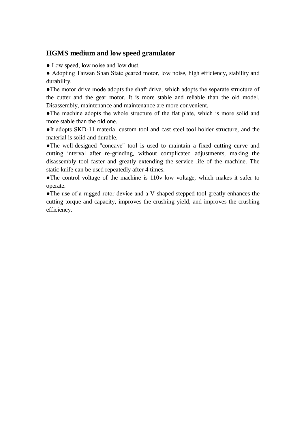## **HGMS medium and low speed granulator**

• Low speed, low noise and low dust.

● Adopting Taiwan Shan State geared motor, low noise, high efficiency, stability and durability.

●The motor drive mode adopts the shaft drive, which adopts the separate structure of the cutter and the gear motor. It is more stable and reliable than the old model. Disassembly, maintenance and maintenance are more convenient.

●The machine adopts the whole structure of the flat plate, which is more solid and more stable than the old one.

●It adopts SKD-11 material custom tool and cast steel tool holder structure, and the material is solid and durable.

●The well-designed "concave" tool is used to maintain a fixed cutting curve and cutting interval after re-grinding, without complicated adjustments, making the disassembly tool faster and greatly extending the service life of the machine. The static knife can be used repeatedly after 4 times.

●The control voltage of the machine is 110v low voltage, which makes it safer to operate.

●The use of a rugged rotor device and a V-shaped stepped tool greatly enhances the cutting torque and capacity, improves the crushing yield, and improves the crushing efficiency.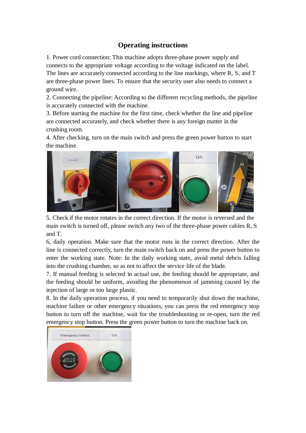## **Operating instructions**

1. Power cord connection: This machine adopts three-phase power supply and connects to the appropriate voltage according to the voltage indicated on the label. The lines are accurately connected according to the line markings, where R, S, and T are three-phase power lines. To ensure that the security user also needs to connect a ground wire.

2. Connecting the pipeline: According to the different recycling methods, the pipeline is accurately connected with the machine.

3. Before starting the machine for the first time, check whether the line and pipeline are connected accurately, and check whether there is any foreign matter in the crushing room.

4. After checking, turn on the main switch and press the green power button to start the machine.



5. Check if the motor rotates in the correct direction. If the motor is reversed and the main switch is turned off, please switch any two of the three-phase power cables R, S and T.

6, daily operation. Make sure that the motor runs in the correct direction. After the line is connected correctly, turn the main switch back on and press the power button to enter the working state. Note: In the daily working state, avoid metal debris falling into the crushing chamber, so as not to affect the service life of the blade.

7. If manual feeding is selected in actual use, the feeding should be appropriate, and the feeding should be uniform, avoiding the phenomenon of jamming caused by the injection of large or too large plastic.

8. In the daily operation process, if you need to temporarily shut down the machine, machine failure or other emergency situations, you can press the red emergency stop button to turn off the machine, wait for the troubleshooting or re-open, turn the red emergency stop button. Press the green power button to turn the machine back on.

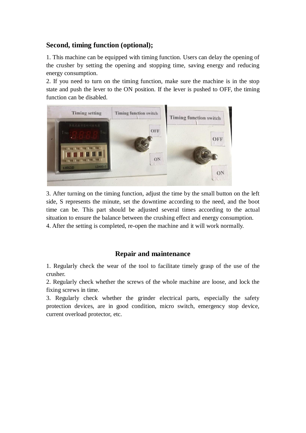## **Second, timing function (optional);**

1. This machine can be equipped with timing function. Users can delay the opening of the crusher by setting the opening and stopping time, saving energy and reducing energy consumption.

2. If you need to turn on the timing function, make sure the machine is in the stop state and push the lever to the ON position. If the lever is pushed to OFF, the timing function can be disabled.



3. After turning on the timing function, adjust the time by the small button on the left side, S represents the minute, set the downtime according to the need, and the boot time can be. This part should be adjusted several times according to the actual situation to ensure the balance between the crushing effect and energy consumption. 4. After the setting is completed, re-open the machine and it will work normally.

#### **Repair and maintenance**

1. Regularly check the wear of the tool to facilitate timely grasp of the use of the crusher.

2. Regularly check whether the screws of the whole machine are loose, and lock the fixing screws in time.

3. Regularly check whether the grinder electrical parts, especially the safety protection devices, are in good condition, micro switch, emergency stop device, current overload protector, etc.